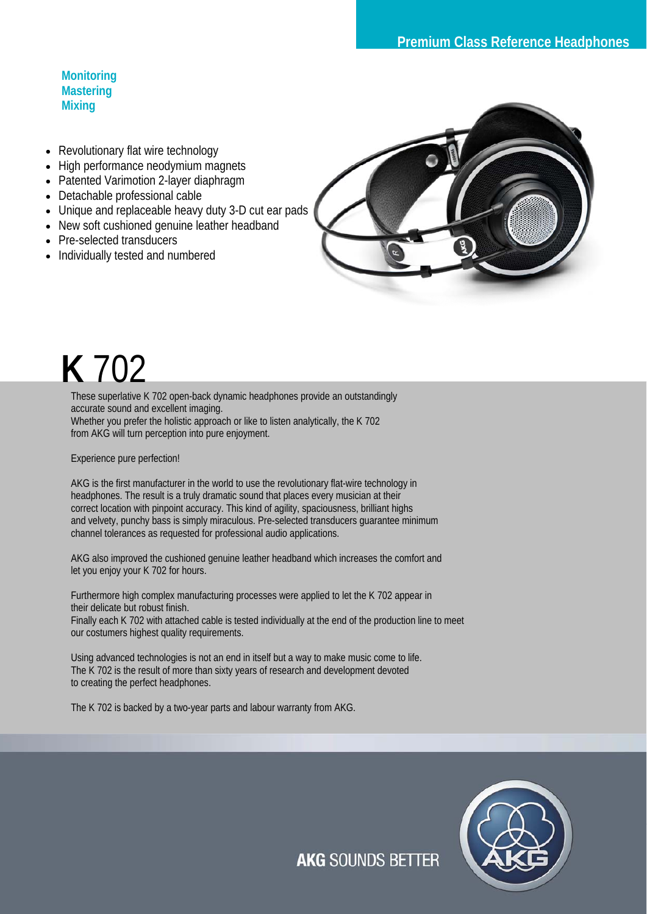**Monitoring Mastering Mixing** 

- Revolutionary flat wire technology
- High performance neodymium magnets
- Patented Varimotion 2-layer diaphragm
- Detachable professional cable
- Unique and replaceable heavy duty 3-D cut ear pads
- New soft cushioned genuine leather headband
- Pre-selected transducers
- Individually tested and numbered



## **K** 702

These superlative K 702 open-back dynamic headphones provide an outstandingly accurate sound and excellent imaging. Whether you prefer the holistic approach or like to listen analytically, the K 702 from AKG will turn perception into pure enjoyment.

Experience pure perfection!

AKG is the first manufacturer in the world to use the revolutionary flat-wire technology in headphones. The result is a truly dramatic sound that places every musician at their correct location with pinpoint accuracy. This kind of agility, spaciousness, brilliant highs and velvety, punchy bass is simply miraculous. Pre-selected transducers guarantee minimum channel tolerances as requested for professional audio applications.

AKG also improved the cushioned genuine leather headband which increases the comfort and let you enjoy your K 702 for hours.

Furthermore high complex manufacturing processes were applied to let the K 702 appear in their delicate but robust finish.

Finally each K 702 with attached cable is tested individually at the end of the production line to meet our costumers highest quality requirements.

Using advanced technologies is not an end in itself but a way to make music come to life. The K 702 is the result of more than sixty years of research and development devoted to creating the perfect headphones.

The K 702 is backed by a two-year parts and labour warranty from AKG.



**AKG SOUNDS BETTER**